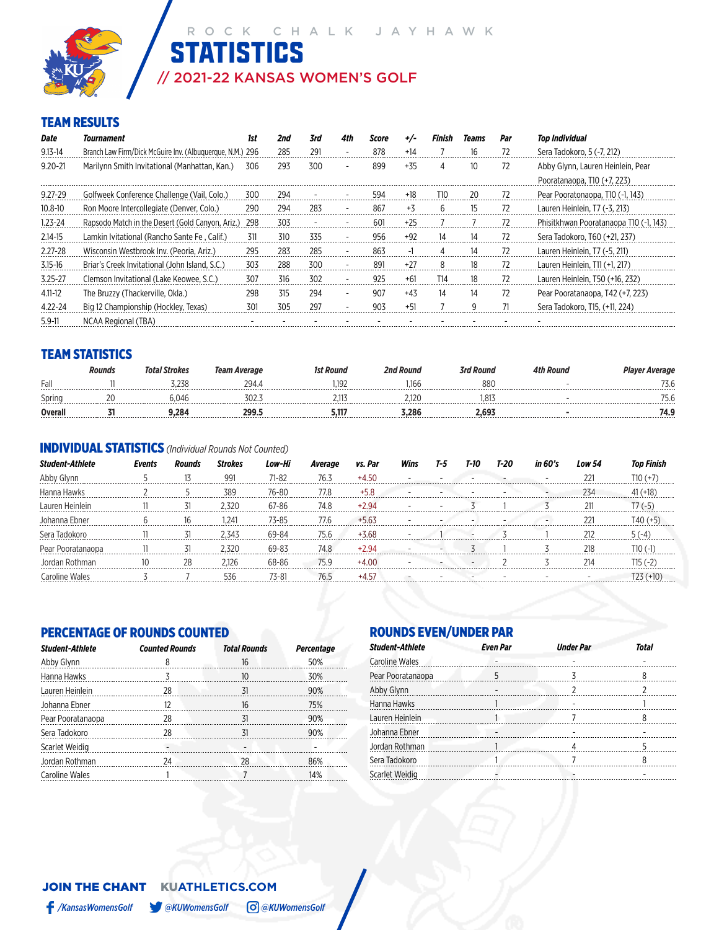

## // 2021-22 KANSAS WOMEN'S GOLF **STATISTICS**

### TEAM RESULTS

| Date        | Tournament                                                | 1st | 2nd | 3rd | 4th                      | Score      |       | Finish | Teams | Par | Top Individual                         |
|-------------|-----------------------------------------------------------|-----|-----|-----|--------------------------|------------|-------|--------|-------|-----|----------------------------------------|
| $9.13 - 14$ | Branch Law Firm/Dick McGuire Inv. (Albuguergue, N.M.) 296 |     | 285 | 291 |                          | 878        | $+14$ |        | 16    | 72  | Sera Tadokoro, 5 (-7, 212)             |
| $9.20 - 21$ | Marilynn Smith Invitational (Manhattan, Kan.)             | 306 | 293 | 300 |                          | 899        | $+35$ |        | 10    | 72  | Abby Glynn, Lauren Heinlein, Pear      |
|             |                                                           |     |     |     |                          |            |       |        |       |     | Pooratanaopa, T10 (+7, 223)            |
| $9.27 - 29$ | Golfweek Conference Challenge (Vail, Colo.)               | 300 | 294 |     |                          | 594        | +18   | T10    | 20    | 72  | Pear Pooratonaopa, T10 (-1, 143)       |
| $10.8 - 10$ | Ron Moore Intercollegiate (Denver, Colo.)                 | 290 | 294 | 283 |                          | 867        | $+3$  | 6      |       | 72  | Lauren Heinlein, T7 (-3, 213)          |
| $1.23 - 24$ | Rapsodo Match in the Desert (Gold Canyon, Ariz.)          | 298 | 303 |     |                          | $60^\circ$ | $+25$ |        |       | 72  | Phisitkhwan Pooratanaopa T10 (-1, 143) |
| $2.14 - 15$ | Lamkin Ivitational (Rancho Sante Fe, Calif.)              | 311 | 310 | 335 |                          | 956        | $+92$ | 14     | 14    | 72  | Sera Tadokoro, T60 (+21, 237)          |
| $2.27 - 28$ | Wisconsin Westbrook Inv. (Peoria, Ariz.)                  | 295 | 283 | 285 |                          | 863        |       |        | 14    |     | Lauren Heinlein, T7 (-5, 211)          |
| $3.15 - 16$ | Briar's Creek Invitational (John Island, S.C.)            | 303 | 288 | 300 |                          | 891        | $+27$ | 8      | 18    | 72  | Lauren Heinlein, T11 (+1, 217)         |
| $3.25 - 27$ | Clemson Invitational (Lake Keowee, S.C.)                  | 307 | 316 | 302 |                          | 925        | $+61$ | T14    | 18    | 72  | Lauren Heinlein, T50 (+16, 232)        |
| $4.11 - 12$ | The Bruzzy (Thackerville, Okla.)                          | 298 | 315 | 294 | $\overline{\phantom{a}}$ | 907        | $+43$ | 14     | 14    | 72  | Pear Pooratanaopa, T42 (+7, 223)       |
| 4.22-24     | Big 12 Championship (Hockley, Texas)                      | 301 | 305 | 297 |                          | 903        | $+51$ |        |       |     | Sera Tadokoro, T15, (+11, 224)         |
| $5.9 - 11$  | NCAA Regional (TBA)                                       |     |     |     |                          |            |       |        |       |     |                                        |

### TEAM STATISTICS

|                                   | Rounds | ' Strokes | ı Average<br>Team | t Round         | <b>Pnd Rouna</b> | 'rd Round | ı Round | Player Average                  |
|-----------------------------------|--------|-----------|-------------------|-----------------|------------------|-----------|---------|---------------------------------|
| Fall<br>*****************         |        |           | 794.              | 10 <sup>°</sup> |                  | 88        |         | $\sim$ $\sim$ $\sim$ $\sim$<br> |
| Sprinc                            |        |           |                   |                 |                  | ŏ.        |         | ۰. ب                            |
| Overal<br><b>****************</b> |        | -284. ر   | 200               |                 | 3.286<br>.       | 2.69      |         | , , ,<br>.                      |

### INDIVIDUAL STATISTICS *(Individual Rounds Not Counted)*

| Student-Athlete | Events | Rounds        | <b>Strokes</b> | Low-Hi    | Average | vs. Par | Wins | T-5 | T-10 | T-20 | in 60's | Low 54 |        |
|-----------------|--------|---------------|----------------|-----------|---------|---------|------|-----|------|------|---------|--------|--------|
|                 |        |               | 991            | $71 - 82$ | 76.3    |         |      |     |      |      |         |        |        |
|                 |        |               | 380            | 76-80     | 77 R    | +5.8    |      |     |      |      |         | 234    |        |
| Lauren Heinlein |        | ------------- |                | 67-86     | 74.8    |         |      |     |      |      |         |        |        |
| Johanna Fhner   |        |               | $24^{\circ}$   | 73-85     | 77.6    |         |      |     |      |      |         |        |        |
| Sera Tadokoro   |        | 31            | 343            | 69-84     | 75.6    |         |      |     |      |      |         |        | $(-4)$ |
|                 |        |               | ) र21          | 69-83     | 74.8    |         |      |     |      |      |         | 218    |        |
|                 |        | 28            | ' 176          | 68-86     | 75 Q    |         |      |     |      |      |         | 21/    |        |
|                 |        |               |                |           |         |         |      |     |      |      |         |        |        |

### PERCENTAGE OF ROUNDS COUNTED

| <b>Student-Athlete</b> | <b>Counted Rounds</b> | <b>Total Rounds</b>          | <b>Percentage</b> |
|------------------------|-----------------------|------------------------------|-------------------|
| Abby Glynn             | 8                     | 16                           | 50%               |
| Hanna Hawks            | 3<br>.                | 10                           | 30%               |
| Lauren Heinlein        | 28<br>.               | 31                           | 90%               |
| Johanna Ebner          | 12                    | 16                           | 75%               |
| Pear Pooratanaopa      | 28                    | -31<br><b>Communication</b>  | 90%               |
| Sera Tadokoro          | 28                    | -31                          | 90%               |
| Scarlet Weidig         |                       | $\qquad \qquad \blacksquare$ |                   |
| Jordan Rothman         | 24                    | 28                           | 86%               |
| Caroline Wales         |                       |                              | 14%               |

### ROUNDS EVEN/UNDER PAR

| <b>Student-Athlete</b> | <b>Even Par</b> | <b>Under Par</b> | <b>Total</b> |
|------------------------|-----------------|------------------|--------------|
| <b>Caroline Wales</b>  |                 |                  |              |
| Pear Pooratanaopa      | 5               |                  | 8            |
| Abby Glynn             |                 |                  |              |
| Hanna Hawks            |                 |                  |              |
| Lauren Heinlein        |                 |                  | 8            |
| Johanna Ebner          |                 |                  |              |
| Jordan Rothman         |                 |                  |              |
| Sera Tadokoro          |                 |                  | 8            |
| Scarlet Weidig         |                 |                  |              |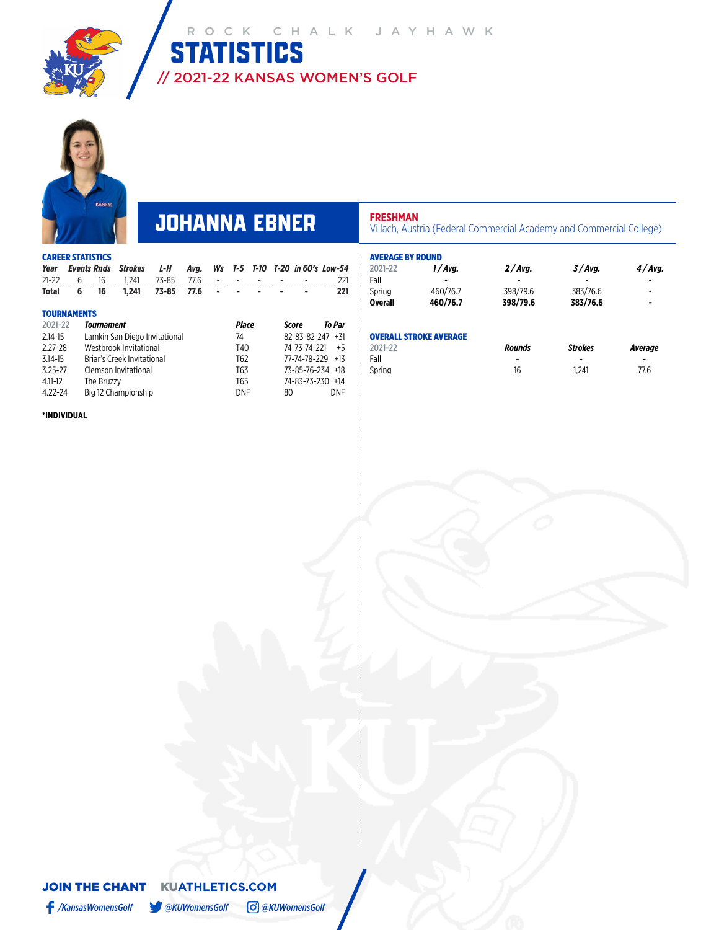



## **JOHANNA EBNER Villach, Austria (Federal Commercial Academy and Commercial College)**

| <b>CAREER STATISTICS</b> |                    |                               |       |      |    |       |  |    |                           |                              |  |
|--------------------------|--------------------|-------------------------------|-------|------|----|-------|--|----|---------------------------|------------------------------|--|
| Year                     | <b>Events Rnds</b> | <b>Strokes</b>                | L-H   | Ava. | Ws |       |  |    |                           | T-5 T-10 T-20 in 60's Low-54 |  |
| $21 - 22$                | 16<br>6            | 1.241                         | 73-85 | 77.6 |    |       |  |    |                           | 221                          |  |
| <b>Total</b>             | 16<br>6            | 1.241                         | 73-85 | 77.6 |    |       |  |    |                           | 221                          |  |
| <b>TOURNAMENTS</b>       |                    |                               |       |      |    |       |  |    |                           |                              |  |
| 2021-22                  | Tournament         |                               |       |      |    | Place |  |    | Score                     | To Par                       |  |
| 2.14-15                  |                    | Lamkin San Diego Invitational |       |      |    | 74    |  |    | $82 - 83 - 82 - 247 + 31$ |                              |  |
| $2.27 - 28$              |                    | Westbrook Invitational        |       |      |    | T40   |  |    | 74-73-74-221              | $+5$                         |  |
| 3.14-15                  |                    | Briar's Creek Invitational    |       |      |    | T62   |  |    | 77-74-78-229 +13          |                              |  |
| $3.25 - 27$              |                    | Clemson Invitational          |       |      |    | T63   |  |    | 73-85-76-234 +18          |                              |  |
| 4.11-12                  | The Bruzzy         |                               |       |      |    | T65   |  |    | 74-83-73-230 +14          |                              |  |
| 4.22-24                  |                    | Big 12 Championship           |       |      |    | DNF   |  | 80 |                           | <b>DNF</b>                   |  |

4.22-24 Big 12 Championship DNF 80 DNF

| 2021-22        | 1/Avg.   | 2/Avg.   | 3/Avg.   | 4/Avg. |
|----------------|----------|----------|----------|--------|
| Fall           |          |          |          |        |
| Spring         | 460/76.7 | 398/79.6 | 383/76.6 | -      |
| <b>Overall</b> | 460/76.7 | 398/79.6 | 383/76.6 |        |

| 2021-22 | <b>Rounds</b> | <b>Strokes</b> | Average |
|---------|---------------|----------------|---------|
| Fall    | -             | -              | -       |
| Spring  | 16            | 1.241          | 77.6    |

### **\*INDIVIDUAL**

### JOIN THE CHANTKU**ATHLETICS.COM** */KansasWomensGolf @KUWomensGolf @KUWomensGolf*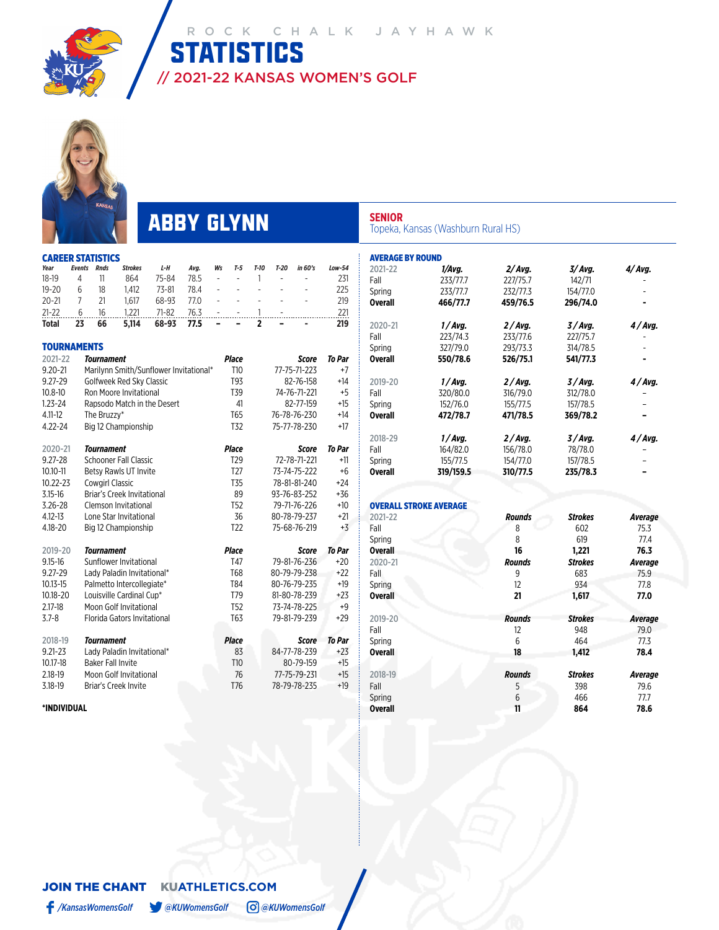

2021-22 KANSAS WOMEN'S GOLF

CD CTATICTICS

## ABBY GLYNN

STATISTICS

**SENIOR**

AVERAGE BY ROUND

OVERALL STROKE AVERAGE

Topeka, Kansas (Washburn Rural HS)

233/77.7

2021-22 *1/Avg. 2/ Avg. 3/ Avg. 4/ Avg.*

2020-21 *1 / Avg. 2 / Avg. 3 / Avg. 4 / Avg.*

2019-20 *1 / Avg. 2 / Avg. 3 / Avg. 4 / Avg.*

152/76.0 155/77.5 157/78.5 –

**Overall 550/78.6 526/75.1 541/77.3 -**

**Overall 472/78.7 471/78.5 369/78.2 –** 2018-29 *1 / Avg. 2 / Avg. 3 / Avg. 4 / Avg.*

Spring 155/77.5 154/77.0 157/78.5 –<br> **Overall 319/159.5 310/77.5 235/78.3** – **Overall 319/159.5 310/77.5 235/78.3 –**

2021-22 *Rounds Strokes Average* Fall 8 602 75.3 Spring 8 619 77.4 **Overall 16 1,221 76.3** 2020-21 *Rounds Strokes Average* Fall 9 683 75.9 Spring 12 934 77.8 **Overall 21 1,617 77.0**

2019-20 *Rounds Strokes Average* Fall 12 948 79.0 Spring 6 464 77.3 **Overall 18 1,412 78.4** 2018-19 *Rounds Strokes Average* Fall 5 398 79.6 Spring 6 5 466 77.7 **Overall 11 864 78.6**

314/78.5

Fall 233/77.7 227/75.7 142/71<br>
Spring 233/77.7 232/77.3 154/77.0

**Overall 466/77.7 459/76.5 296/74.0 -**

Fall 223/74.3 233/77.6 227/75.7<br>Spring 327/79.0 293/73.3 314/78.5

Fall 320/80.0 316/79.0 312/78.0<br>
Spring 152/76.0 155/77.5 157/78.5

Fall 164/82.0 156/78.0 78/78.0<br>Spring 155/77.5 154/77.0 157/78.5

|                        |                |                          | س                                      |           |      |                |                 |                |        |                              |               |
|------------------------|----------------|--------------------------|----------------------------------------|-----------|------|----------------|-----------------|----------------|--------|------------------------------|---------------|
| Year                   | <b>Events</b>  | <b>Rnds</b>              | <b>Strokes</b>                         | L-H       | Avg. | Ws             | T-5             | T-10           | $T-20$ | in 60's                      | Low-54        |
| 18-19                  | 4              | 11                       | 864                                    | 75-84     | 78.5 | ÷,             |                 | 1              |        |                              | 231           |
| $19 - 20$              | 6              | 18                       | 1.412                                  | $73 - 81$ | 78.4 | $\overline{a}$ |                 | $\overline{a}$ |        |                              | 225           |
| $20 - 21$              | $\overline{7}$ | 21                       | 1,617                                  | 68-93     | 77.0 |                |                 | ÷              |        |                              | 219           |
| $21 - 22$              | 6              | 16                       | 1.221                                  | $71 - 82$ | 76.3 |                |                 | 1              |        |                              | 221           |
| <b>Total</b>           | 23             | 66                       | 5,114                                  | 68-93     | 77.5 |                |                 | 2              |        |                              | 219           |
| <b>TOURNAMENTS</b>     |                |                          |                                        |           |      |                |                 |                |        |                              |               |
| 2021-22                |                | <b>Tournament</b>        |                                        |           |      |                | <b>Place</b>    |                |        | Score                        | <b>To Par</b> |
| $9.20 - 21$            |                |                          | Marilynn Smith/Sunflower Invitational* |           |      |                | T10             |                |        | 77-75-71-223                 | $+7$          |
| 9.27-29                |                |                          | Golfweek Red Sky Classic               |           |      |                | T93             |                |        | 82-76-158                    | $+14$         |
| $10.8 - 10$            |                |                          | Ron Moore Invitational                 |           |      |                | T39             |                |        | 74-76-71-221                 | $+5$          |
| $1.23 - 24$            |                |                          | Rapsodo Match in the Desert            |           |      |                | 41              |                |        | 82-77-159                    | $+15$         |
| $4.11 - 12$            |                | The Bruzzy*              |                                        |           |      |                | T65             |                |        | 76-78-76-230                 | $+14$         |
| $4.22 - 24$            |                |                          | Big 12 Championship                    |           |      |                | T32             |                |        | 75-77-78-230                 | $+17$         |
|                        |                |                          |                                        |           |      |                |                 |                |        |                              |               |
| 2020-21                |                | Tournament               |                                        |           |      |                | <b>Place</b>    |                |        | Score                        | <b>To Par</b> |
| 9.27-28                |                |                          | <b>Schooner Fall Classic</b>           |           |      |                | T <sub>29</sub> |                |        | 72-78-71-221                 | $+11$         |
| $10.10 - 11$           |                |                          | Betsy Rawls UT Invite                  |           |      |                | T <sub>27</sub> |                |        | 73-74-75-222                 | $+6$          |
| 10.22-23               |                | <b>Cowairl Classic</b>   |                                        |           |      |                | <b>T35</b>      |                |        | 78-81-81-240                 | $+24$         |
| $3.15 - 16$            |                |                          | Briar's Creek Invitational             |           |      |                | 89              |                |        | 93-76-83-252                 | +36           |
| 3.26-28                |                |                          | Clemson Invitational                   |           |      |                | <b>T52</b>      |                |        | 79-71-76-226                 | $+10$         |
| 4.12-13                |                |                          | Lone Star Invitational                 |           |      |                | 36              |                |        | 80-78-79-237                 | $+21$         |
| 4.18-20                |                |                          | Big 12 Championship                    |           |      |                | T <sub>22</sub> |                |        | 75-68-76-219                 | $+3$          |
|                        |                |                          |                                        |           |      |                |                 |                |        |                              |               |
| 2019-20                |                | <b>Tournament</b>        |                                        |           |      |                | <b>Place</b>    |                |        | <b>Score</b>                 | <b>To Par</b> |
| $9.15 - 16$            |                |                          | Sunflower Invitational                 |           |      |                | T47             |                |        | 79-81-76-236                 | $+20$         |
| 9.27-29                |                |                          | Lady Paladin Invitational*             |           |      |                | <b>T68</b>      |                |        | 80-79-79-238                 | $+22$         |
| $10.13 - 15$           |                |                          | Palmetto Intercollegiate*              |           |      |                | T84             |                |        | 80-76-79-235                 | $+19$         |
| 10.18-20               |                |                          | Louisville Cardinal Cup*               |           |      |                | T79             |                |        | 81-80-78-239                 | $+23$         |
| 2.17-18                |                |                          | Moon Golf Invitational                 |           |      |                | <b>T52</b>      |                |        | 73-74-78-225                 | $+9$          |
| $3.7 - 8$              |                |                          | Florida Gators Invitational            |           |      |                | <b>T63</b>      |                |        | 79-81-79-239                 | $+29$         |
|                        |                |                          |                                        |           |      |                | <b>Place</b>    |                |        |                              | <b>To Par</b> |
| 2018-19<br>$9.21 - 23$ |                | Tournament               |                                        |           |      |                | 83              |                |        | <b>Score</b><br>84-77-78-239 | $+23$         |
| 10.17-18               |                | <b>Baker Fall Invite</b> | Lady Paladin Invitational*             |           |      |                | T10             |                |        | 80-79-159                    | $+15$         |
| 2.18-19                |                |                          | Moon Golf Invitational                 |           |      |                | 76              |                |        | 77-75-79-231                 | $+15$         |
| 3.18-19                |                |                          | Briar's Creek Invite                   |           |      |                | T76             |                |        | 78-79-78-235                 | $+19$         |
|                        |                |                          |                                        |           |      |                |                 |                |        |                              |               |

**\*INDIVIDUAL**

## JOIN THE CHANTKU**ATHLETICS.COM**

*/KansasWomensGolf @KUWomensGolf @KUWomensGolf*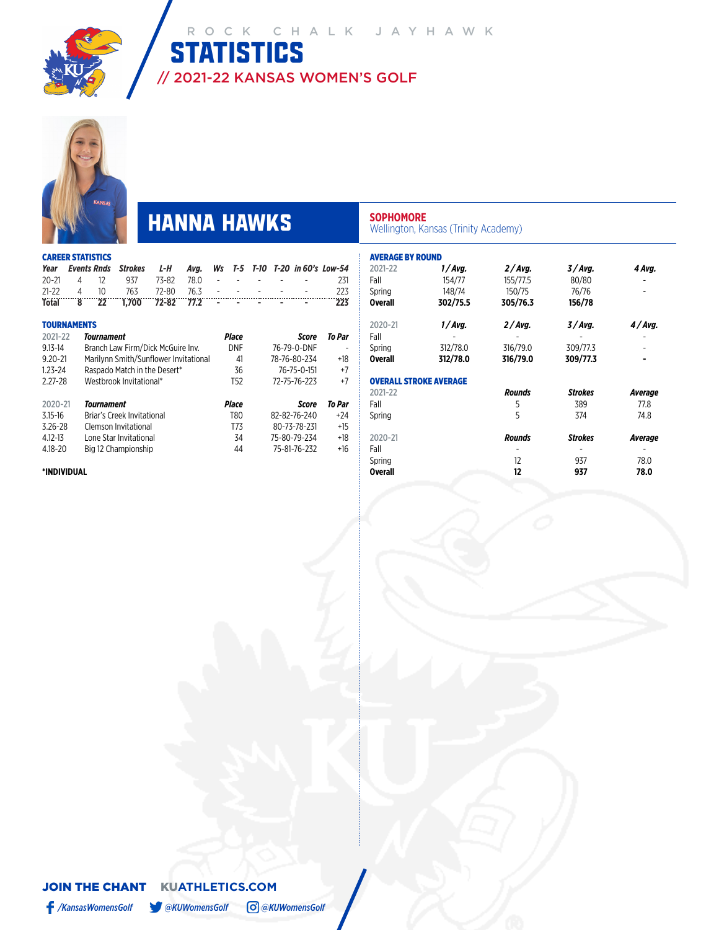



# **HANNA HAWKS** SOPHOMORE Wellington, Kansas (Trinity Academy)

| <b>CAREER STATISTICS</b> |                                                                   |  |  |  |     |
|--------------------------|-------------------------------------------------------------------|--|--|--|-----|
|                          | Year Events Rnds Strokes L-H Avg. Ws T-5 T-10 T-20 in 60's Low-54 |  |  |  |     |
|                          | 20-21 4 12 937 73-82 78.0 - - - - - - 231                         |  |  |  |     |
|                          | 21-22 4 10 763 72-80 76.3 - - - - - -                             |  |  |  | 223 |
|                          | Total 8 22 1,700 72-82 77.2 - - - - - -                           |  |  |  | 223 |

| <b>TOURNAMENTS</b> |                                       |                 |              |        |
|--------------------|---------------------------------------|-----------------|--------------|--------|
| 2021-22            | Tournament                            | Place           | Score        | To Par |
| $9.13 - 14$        | Branch Law Firm/Dick McGuire Inv.     | <b>DNF</b>      | 76-79-0-DNF  |        |
| $9.20 - 21$        | Marilynn Smith/Sunflower Invitational | 41              | 78-76-80-234 | +18    |
| $1.23 - 24$        | Raspado Match in the Desert*          | 36              | 76-75-0-151  | $+7$   |
| $2.27 - 28$        | Westbrook Invitational*               | T <sub>52</sub> | 72-75-76-223 | $+7$   |
|                    |                                       |                 |              |        |
| 2020-21            | Tournament                            | Place           | Score        | To Par |
|                    |                                       |                 |              |        |
| $3.15 - 16$        | Briar's Creek Invitational            | T80             | 82-82-76-240 | $+24$  |
| $3.26 - 28$        | Clemson Invitational                  | T73             | 80-73-78-231 | $+15$  |
| $4.12 - 13$        | Lone Star Invitational                | 34              | 75-80-79-234 | $+18$  |
| 4.18-20            | Big 12 Championship                   | 44              | 75-81-76-232 | $+16$  |

**\*INDIVIDUAL**

| <b>AVERAGE BY ROUND</b> |                               |               |                |                |
|-------------------------|-------------------------------|---------------|----------------|----------------|
| 2021-22                 | 1/Avg.                        | 2/Avg.        | 3/Avg.         | 4 Avg.         |
| Fall                    | 154/77                        | 155/77.5      | 80/80          |                |
| Spring                  | 148/74                        | 150/75        | 76/76          |                |
| <b>Overall</b>          | 302/75.5                      | 305/76.3      | 156/78         |                |
| 2020-21                 | 1/Avg.                        | 2/Avg.        | 3/Avg.         | 4/Avg.         |
| Fall                    |                               |               |                |                |
| Spring                  | 312/78.0                      | 316/79.0      | 309/77.3       |                |
| <b>Overall</b>          | 312/78.0                      | 316/79.0      | 309/77.3       |                |
|                         | <b>OVERALL STROKE AVERAGE</b> |               |                |                |
| 2021-22                 |                               | <b>Rounds</b> | <b>Strokes</b> | Average        |
| Fall                    |                               | 5             | 389            | 77.8           |
| Spring                  |                               | 5             | 374            | 74.8           |
| 2020-21                 |                               | <b>Rounds</b> | <b>Strokes</b> | <b>Average</b> |
| Fall                    |                               |               |                |                |
| Spring                  |                               | 12            | 937            | 78.0           |
| <b>Overall</b>          |                               | 12            | 937            | 78.0           |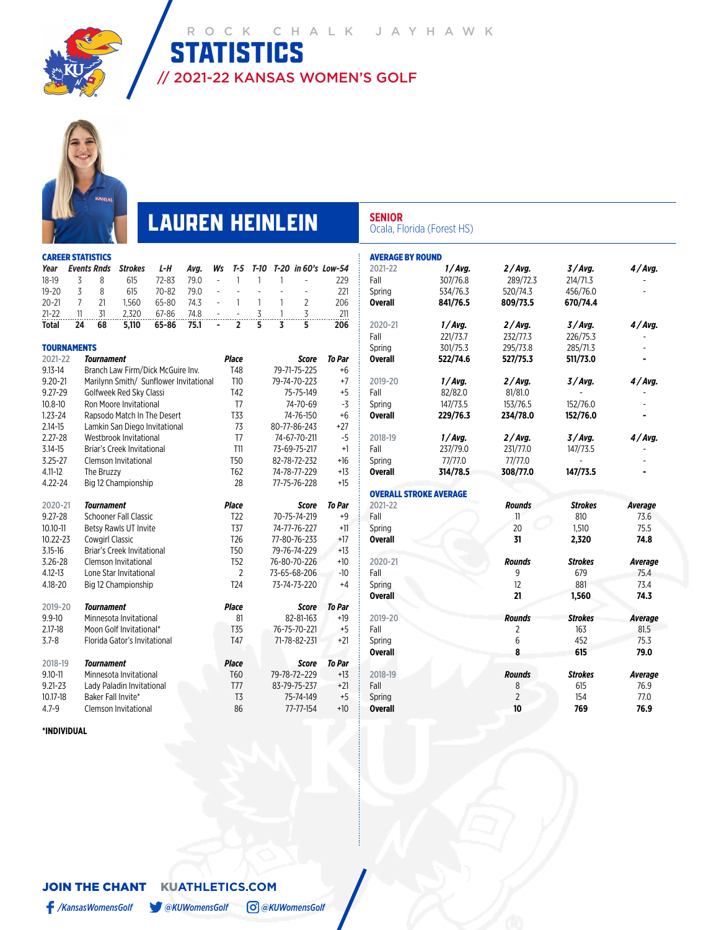

**STATISTICS** OCK CHALK JAYHAWK

// 2021-22 KANSAS WOMEN'S GOLF

# **LAUREN HEINLEIN** SENIOR **SENIOR CCala, Florida (Forest HS)**

AVERAGE BY ROUND

Fall 307/76.8 289/72.3<br>
Spring 534/76.3 520/74.3

**Overall 841/76.5 809/73.5 670/74.4**

|                    |                | <b>CAREER STATISTICS</b> |                                        |           |      |                |                 |                |   |              |                     |
|--------------------|----------------|--------------------------|----------------------------------------|-----------|------|----------------|-----------------|----------------|---|--------------|---------------------|
| Year               |                | <b>Events Rnds</b>       | <b>Strokes</b>                         | L-H       | Avg. | Ws             | T-5             | T-10           |   |              | T-20 in 60's Low-54 |
| $18-19$            | 3              | 8                        | 615                                    | $72 - 83$ | 79.0 | $\overline{a}$ | 1               | 1              | 1 |              | 229                 |
| $19 - 20$          | 3              | 8                        | 615                                    | $70 - 82$ | 79.0 | -              | $\overline{a}$  | $\overline{a}$ | ÷ |              | 221                 |
| $20 - 21$          | $\overline{7}$ | 21                       | 1,560                                  | 65-80     | 74.3 | ÷,             | 1               | 1              | 1 | 2            | 206                 |
| $21 - 22$          | 11             | 31                       | 2,320                                  | 67-86     | 74.8 |                |                 | 3              | 1 | 3            | 211                 |
| Total              | 24             | 68                       | 5,110                                  | 65-86     | 75.1 | ÷              | 2               | 5              | 3 | 5            | 206                 |
| <b>TOURNAMENTS</b> |                |                          |                                        |           |      |                |                 |                |   |              |                     |
| 2021-22            |                | <b>Tournament</b>        |                                        |           |      |                | <b>Place</b>    |                |   | Score        | <b>To Par</b>       |
| $9.13 - 14$        |                |                          | Branch Law Firm/Dick McGuire Inv.      |           |      |                | T48             |                |   | 79-71-75-225 | +6                  |
| $9.20 - 21$        |                |                          | Marilynn Smith/ Sunflower Invitational |           |      |                | T10             |                |   | 79-74-70-223 | $+7$                |
| 9.27-29            |                |                          | Golfweek Red Sky Classi                |           |      |                | T42             |                |   | 75-75-149    | $+5$                |
| $10.8 - 10$        |                |                          | Ron Moore Invitational                 |           |      |                | T7              |                |   | 74-70-69     | $-3$                |
| $1.23 - 24$        |                |                          | Rapsodo Match In The Desert            |           |      |                | <b>T33</b>      |                |   | 74-76-150    | $+6$                |
| $2.14 - 15$        |                |                          | Lamkin San Diego Invitational          |           |      |                | 73              |                |   | 80-77-86-243 | $+27$               |
| $2.27 - 28$        |                |                          | Westbrook Invitational                 |           |      |                | T <sub>7</sub>  |                |   | 74-67-70-211 | $-5$                |
| $3.14 - 15$        |                |                          | Briar's Creek Invitational             |           |      |                | T11             |                |   | 73-69-75-217 | $+1$                |
| $3.25 - 27$        |                |                          | Clemson Invitational                   |           |      |                | <b>T50</b>      |                |   | 82-78-72-232 | $+16$               |
| $4.11 - 12$        |                | The Bruzzy               |                                        |           |      |                | T <sub>62</sub> |                |   | 74-78-77-229 | $+13$               |
| $4.22 - 24$        |                |                          | Big 12 Championship                    |           |      |                | 28              |                |   | 77-75-76-228 | +15                 |
| 2020-21            |                | Tournament               |                                        |           |      |                | <b>Place</b>    |                |   | Score        | <b>To Par</b>       |
| $9.27 - 28$        |                |                          | <b>Schooner Fall Classic</b>           |           |      |                | T <sub>22</sub> |                |   | 70-75-74-219 | $+9$                |
| $10.10 - 11$       |                |                          | Betsy Rawls UT Invite                  |           |      |                | <b>T37</b>      |                |   | 74-77-76-227 | $+11$               |
| 10.22-23           |                | <b>Cowgirl Classic</b>   |                                        |           |      |                | T <sub>26</sub> |                |   | 77-80-76-233 | $+17$               |
| $3.15 - 16$        |                |                          | Briar's Creek Invitational             |           |      |                | T <sub>50</sub> |                |   | 79-76-74-229 | $+13$               |
| $3.26 - 28$        |                |                          | Clemson Invitational                   |           |      |                | <b>T52</b>      |                |   | 76-80-70-226 | $+10$               |
| $4.12 - 13$        |                |                          | Lone Star Invitational                 |           |      |                | $\overline{2}$  |                |   | 73-65-68-206 | $-10$               |
| 4.18-20            |                |                          | Big 12 Championship                    |           |      |                | T <sub>24</sub> |                |   | 73-74-73-220 | $+4$                |
| 2019-20            |                | <b>Tournament</b>        |                                        |           |      |                | <b>Place</b>    |                |   | Score        | <b>To Par</b>       |
| $9.9 - 10$         |                |                          | Minnesota Invitational                 |           |      |                | 81              |                |   | 82-81-163    | $+19$               |
| $2.17 - 18$        |                |                          | Moon Golf Invitational*                |           |      |                | T <sub>35</sub> |                |   | 76-75-70-221 | $+5$                |
| $3.7 - 8$          |                |                          | Florida Gator's Invitational           |           |      |                | T47             |                |   | 71-78-82-231 | $+21$               |
|                    |                |                          |                                        |           |      |                |                 |                |   |              |                     |
| 2018-19            |                | Tournament               |                                        |           |      |                | <b>Place</b>    |                |   | Score        | <b>To Par</b>       |
| $9.10 - 11$        |                |                          | Minnesota Invitational                 |           |      |                | T60             |                |   | 79-78-72-229 | +13                 |
| $9.21 - 23$        |                |                          | Lady Paladin Invitational              |           |      |                | T77             |                |   | 83-79-75-237 | $+21$               |
| 10.17-18           |                | Baker Fall Invite*       |                                        |           |      |                | T <sub>3</sub>  |                |   | 75-74-149    | $+5$                |
| $4.7 - 9$          |                |                          | Clemson Invitational                   |           |      |                | 86              |                |   | 77-77-154    | $+10$               |

| 2020-21        | 1/Avg.                        | 2/Avg.        | 3/Avg.         | 4/Avg.         |
|----------------|-------------------------------|---------------|----------------|----------------|
| Fall           | 221/73.7                      | 232/77.3      | 226/75.3       |                |
| Spring         | 301/75.3                      | 295/73.8      | 285/71.3       |                |
| Overall        | 522/74.6                      | 527/75.3      | 511/73.0       |                |
| 2019-20        | 1/Avg.                        | 2/Avg.        | 3/Avg.         | 4/Avg.         |
| Fall           | 82/82.0                       | 81/81.0       |                |                |
| Spring         | 147/73.5                      | 153/76.5      | 152/76.0       |                |
| Overall        | 229/76.3                      | 234/78.0      | 152/76.0       |                |
| 2018-19        | 1/Avg.                        | 2/Avg.        | 3/Avg.         | 4/Avg.         |
| Fall           | 237/79.0                      | 231/77.0      | 147/73.5       |                |
| Spring         | 77/77.0                       | 77/77.0       |                |                |
| <b>Overall</b> | 314/78.5                      | 308/77.0      | 147/73.5       |                |
|                | <b>OVERALL STROKE AVERAGE</b> |               |                |                |
| 2021-22        |                               | <b>Rounds</b> | <b>Strokes</b> | <b>Average</b> |
| Fall           |                               | 11            | 810            | 73.6           |
| Spring         |                               | 20            | 1.510          | 75.5           |
| Overall        |                               | 31            | 2,320          | 74.8           |
| 2020-21        |                               | <b>Rounds</b> | <b>Strokes</b> | <b>Average</b> |
| Fall           |                               | 9             | 679            | 75.4           |
| Spring         |                               | 12            | 881            | 73.4           |
| <b>Overall</b> |                               | 21            | 1,560          | 74.3           |
|                |                               |               |                |                |
| 2019-20        |                               | <b>Rounds</b> | <b>Strokes</b> | <b>Average</b> |
| Fall           |                               | 2<br>6        | 163            | 81.5<br>75.3   |
| Spring         |                               |               | 452            |                |

**Overall 8 615 79.0**

2018-19 *Rounds Strokes Average* Fall 8 615 76.9 Spring 2 154 77.0 **Overall 10 769 76.9**

2021-22 *1 / Avg. 2 / Avg. 3 / Avg. 4 / Avg.*

534/76.3 520/74.3 456/76.0<br>**841/76.5 809/73.5 670/74.4** 

**\*INDIVIDUAL**

JOIN THE CHANTKU**ATHLETICS.COM**

*/KansasWomensGolf @KUWomensGolf @KUWomensGolf*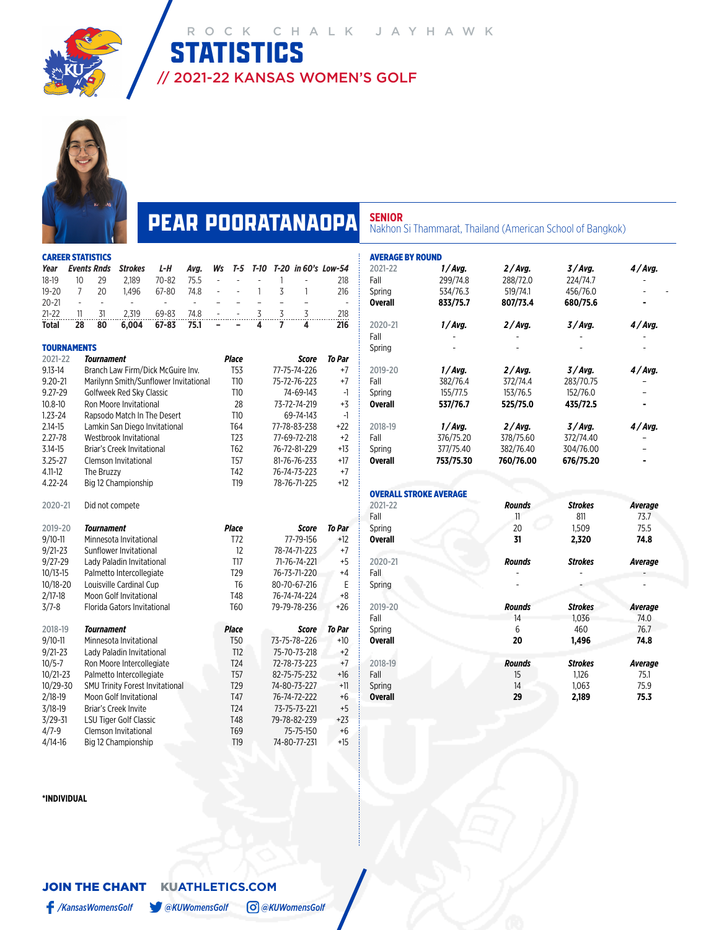

# **PEAR POORATANAOPA** SENIOR<br>
Nakhon Si Thammarat, Thailand (American School of Bangkok)

// 2021-22 KANSAS WOMEN'S GOLF

|                    | <b>CAREER STATISTICS</b> |                    |                                        |           |                |                |                 |                |                |                |                          |  |
|--------------------|--------------------------|--------------------|----------------------------------------|-----------|----------------|----------------|-----------------|----------------|----------------|----------------|--------------------------|--|
| Year               |                          | <b>Events Rnds</b> | <b>Strokes</b>                         | L-H       | Avg.           | Ws             | T-5             | $T-10$         |                |                | T-20 in 60's Low-54      |  |
| $18-19$            | 10                       | 29                 | 2,189                                  | 70-82     | 75.5           |                | ÷,              |                | 1              | ÷,             | 218                      |  |
| $19 - 20$          | $\overline{7}$           | 20                 | 1,496                                  | 67-80     | 74.8           |                | ÷,              | 1              | 3              | 1              | 216                      |  |
| $20 - 21$          | $\overline{a}$           | $\frac{1}{2}$      |                                        |           | $\overline{a}$ | $\overline{a}$ | $\overline{a}$  | $\overline{a}$ | $\overline{a}$ | $\overline{a}$ | $\overline{\phantom{a}}$ |  |
| $21 - 22$          | 11                       | 31                 | 2,319                                  | 69-83     | 74.8           |                |                 | 3              | 3              | 3              | 218                      |  |
| Total              | 28                       | 80                 | 6,004                                  | $67 - 83$ | 75.1           |                |                 | 4              | 7              | 4              | 216                      |  |
| <b>TOURNAMENTS</b> |                          |                    |                                        |           |                |                |                 |                |                |                |                          |  |
| 2021-22            |                          | Tournament         |                                        |           |                |                | <b>Place</b>    |                |                | Score          | To Par                   |  |
| $9.13 - 14$        |                          |                    | Branch Law Firm/Dick McGuire Inv.      |           |                |                | <b>T53</b>      |                |                | 77-75-74-226   | +7                       |  |
| $9.20 - 21$        |                          |                    | Marilynn Smith/Sunflower Invitational  |           |                |                | T10             |                |                | 75-72-76-223   | $+7$                     |  |
| $9.27 - 29$        |                          |                    | Golfweek Red Sky Classic               |           |                |                | T10             |                |                | 74-69-143      | -1                       |  |
| $10.8 - 10$        |                          |                    | Ron Moore Invitational                 |           |                |                | 28              |                |                | 73-72-74-219   | +3                       |  |
| $1.23 - 24$        |                          |                    | Rapsodo Match In The Desert            |           |                |                | T10             |                |                | 69-74-143      | $-1$                     |  |
| $2.14 - 15$        |                          |                    | Lamkin San Diego Invitational          |           |                |                | T64             |                |                | 77-78-83-238   | $+22$                    |  |
| $2.27 - 78$        |                          |                    | Westbrook Invitational                 |           |                |                | T <sub>23</sub> |                |                | 77-69-72-218   | $+2$                     |  |
| $3.14 - 15$        |                          |                    | Briar's Creek Invitational             |           |                |                | T62             |                |                | 76-72-81-229   | $+13$                    |  |
| $3.25 - 27$        |                          |                    | <b>Clemson Invitational</b>            |           |                |                | T <sub>57</sub> |                |                | 81-76-76-233   | $+17$                    |  |
| $4.11 - 12$        |                          | The Bruzzy         |                                        |           |                |                | T42             |                |                | 76-74-73-223   | $+7$                     |  |
| 4.22-24            |                          |                    | Big 12 Championship                    |           |                |                | T19             |                |                | 78-76-71-225   | $+12$                    |  |
| 2020-21            |                          | Did not compete    |                                        |           |                |                |                 |                |                |                |                          |  |
| 2019-20            |                          | <b>Tournament</b>  |                                        |           |                |                | <b>Place</b>    |                |                | Score          | <b>To Par</b>            |  |
| $9/10 - 11$        |                          |                    | Minnesota Invitational                 |           |                |                | T72             |                |                | 77-79-156      | $+12$                    |  |
| $9/21 - 23$        |                          |                    | Sunflower Invitational                 |           |                |                | 12              |                | +7             |                |                          |  |
| $9/27 - 29$        |                          |                    | Lady Paladin Invitational              |           |                |                | T17             |                |                | 71-76-74-221   | +5                       |  |
| $10/13 - 15$       |                          |                    | Palmetto Intercollegiate               |           |                |                | T <sub>29</sub> |                | $+4$           |                |                          |  |
| $10/18 - 20$       |                          |                    | Louisville Cardinal Cup                |           |                |                | T6              |                |                | 80-70-67-216   | Ε                        |  |
| $2/17 - 18$        |                          |                    | Moon Golf Invitational                 |           |                |                | T48             |                |                | 76-74-74-224   | +8                       |  |
| $3/7 - 8$          |                          |                    | Florida Gators Invitational            |           |                |                | T60             |                |                | 79-79-78-236   | $+26$                    |  |
| 2018-19            |                          | Tournament         |                                        |           |                |                | <b>Place</b>    |                |                | <b>Score</b>   | <b>To Par</b>            |  |
| $9/10 - 11$        |                          |                    | Minnesota Invitational                 |           |                |                | <b>T50</b>      |                |                | 73-75-78-226   | $+10$                    |  |
| $9/21 - 23$        |                          |                    | Lady Paladin Invitational              |           |                |                | T12             |                |                | 75-70-73-218   | $+2$                     |  |
| $10/5 - 7$         |                          |                    | Ron Moore Intercollegiate              |           |                |                | T <sub>24</sub> |                |                | 72-78-73-223   | $+7$                     |  |
| $10/21 - 23$       |                          |                    | Palmetto Intercollegiate               |           |                |                | <b>T57</b>      |                |                | 82-75-75-232   | $+16$                    |  |
| 10/29-30           |                          |                    | <b>SMU Trinity Forest Invitational</b> |           |                |                | T <sub>29</sub> |                |                | 74-80-73-227   | $+11$                    |  |
| $2/18-19$          |                          |                    | Moon Golf Invitational                 |           |                |                | T47             |                |                | 76-74-72-222   | +6                       |  |
| $3/18 - 19$        |                          |                    | Briar's Creek Invite                   |           |                |                | T <sub>24</sub> |                |                | 73-75-73-221   | +5                       |  |
| $3/29 - 31$        |                          |                    | <b>LSU Tiger Golf Classic</b>          |           |                |                | T48             |                |                | 79-78-82-239   | $+23$                    |  |
| $4/7 - 9$          |                          |                    | Clemson Invitational                   |           |                |                | T69             |                |                | 75-75-150      | $+6$                     |  |
| $4/14-16$          |                          |                    | Big 12 Championship                    |           |                |                | T <sub>19</sub> |                |                | 74-80-77-231   | $+15$                    |  |

| <b>AVERAGE BY ROUND</b> |                               |               |                |                        |
|-------------------------|-------------------------------|---------------|----------------|------------------------|
| 2021-22                 | 1/Avg.                        | 2/Avg.        | 3/Avg.         | 4/Avg.                 |
| Fall                    | 299/74.8                      | 288/72.0      | 224/74.7       |                        |
| Spring                  | 534/76.3                      | 519/74.1      | 456/76.0       |                        |
| <b>Overall</b>          | 833/75.7                      | 807/73.4      | 680/75.6       |                        |
| 2020-21                 | 1/Avg.                        | 2/Avg.        | 3/Avg.         | 4/Avg.                 |
| Fall<br>Spring          |                               |               |                |                        |
| 2019-20                 | 1/Avg.                        | 2/Avg.        | 3/Avg.         | 4/Avg.                 |
| Fall                    | 382/76.4                      | 372/74.4      | 283/70.75      |                        |
| Spring                  | 155/77.5                      | 153/76.5      | 152/76.0       |                        |
| <b>Overall</b>          | 537/76.7                      | 525/75.0      | 435/72.5       |                        |
| 2018-19                 | 1/Avg.                        | 2/Avg.        | 3/Avg.         | 4/Avg.                 |
| Fall                    | 376/75.20                     | 378/75.60     | 372/74.40      |                        |
| Spring                  | 377/75.40                     | 382/76.40     | 304/76.00      |                        |
| <b>Overall</b>          | 753/75.30                     | 760/76.00     | 676/75.20      |                        |
|                         |                               |               |                |                        |
| 2021-22                 | <b>OVERALL STROKE AVERAGE</b> | <b>Rounds</b> | <b>Strokes</b> |                        |
| Fall                    |                               | 11            | 811            | <b>Average</b><br>73.7 |
| Spring                  |                               | 20            | 1,509          | 75.5                   |
| Overall                 |                               | 31            | 2,320          | 74.8                   |
| 2020-21                 |                               | <b>Rounds</b> | <b>Strokes</b> | <b>Average</b>         |
| Fall                    |                               |               |                |                        |
| Spring                  |                               |               |                |                        |
| 2019-20                 |                               | <b>Rounds</b> | <b>Strokes</b> | <b>Average</b>         |
| Fall                    |                               | 14            | 1,036          | 74.0                   |
| Spring                  |                               | 6             | 460            | 76.7                   |
| <b>Overall</b>          |                               | 20            | 1,496          | 74.8                   |
| 2018-19                 |                               | <b>Rounds</b> | <b>Strokes</b> | <b>Average</b>         |
| Fall                    |                               | 15            | 1.126          | 75.1                   |
| Spring                  |                               | 14            | 1,063          | 75.9                   |
| <b>Overall</b>          |                               | 29            | 2,189          | 75.3                   |

**\*INDIVIDUAL**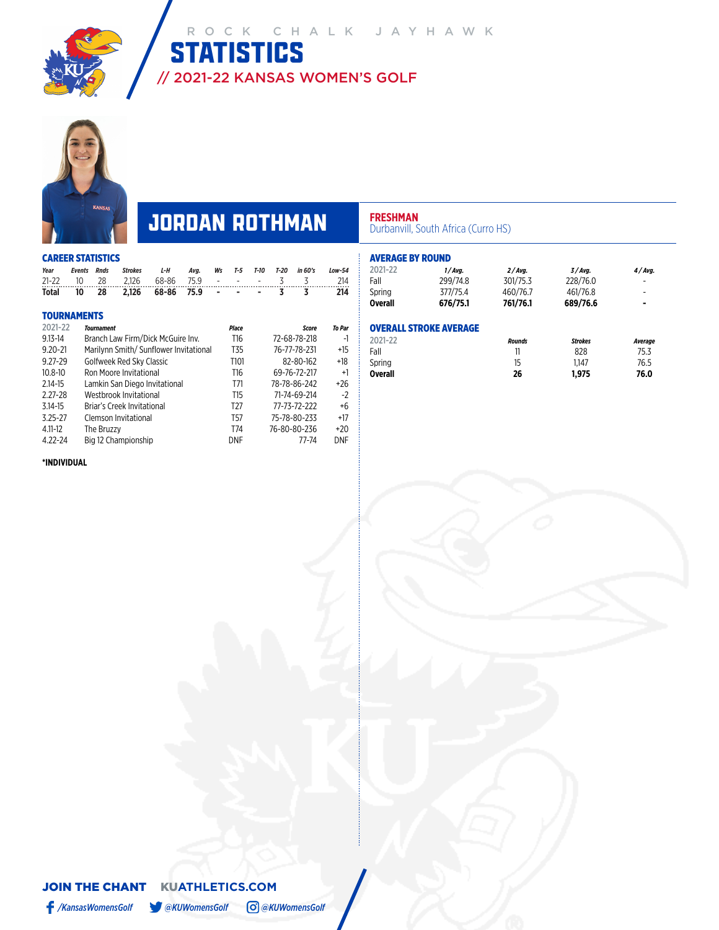

# **JORDAN ROTHMAN PRESHMAN** Durbanvill, South Africa (Curro HS)

|             | <b>CAREER STATISTICS</b> |                   |                                        |       |      |                          |                  |      |        |              |        |
|-------------|--------------------------|-------------------|----------------------------------------|-------|------|--------------------------|------------------|------|--------|--------------|--------|
| Year        | <b>Events</b>            | <b>Rnds</b>       | <b>Strokes</b>                         | L-H   | Avg. | Ws                       | $T-5$            | T-10 | $T-20$ | in 60's      | Low-54 |
| $21 - 22$   | 10                       | 28                | 2.126                                  | 68-86 | 75.9 | $\overline{\phantom{a}}$ |                  |      | 3      | 3            | 214    |
| Total       | 10                       | 28                | 2,126                                  | 68-86 | 75.9 |                          |                  |      | 3      | 3            | 214    |
|             | <b>TOURNAMENTS</b>       |                   |                                        |       |      |                          |                  |      |        |              |        |
| 2021-22     |                          | <b>Tournament</b> |                                        |       |      |                          | <b>Place</b>     |      |        | <b>Score</b> | To Par |
| $9.13 - 14$ |                          |                   | Branch Law Firm/Dick McGuire Inv.      |       |      |                          | T16              |      |        | 72-68-78-218 | -1     |
| $9.20 - 21$ |                          |                   | Marilynn Smith/ Sunflower Invitational |       |      |                          | T <sub>35</sub>  |      |        | 76-77-78-231 | $+15$  |
| $9.27 - 29$ |                          |                   | Golfweek Red Sky Classic               |       |      |                          | T <sub>101</sub> |      |        | 82-80-162    | +18    |
| $10.8 - 10$ |                          |                   | Ron Moore Invitational                 |       |      |                          | T16              |      |        | 69-76-72-217 | $+1$   |
| 2.14-15     |                          |                   | Lamkin San Diego Invitational          |       |      |                          | T71              |      |        | 78-78-86-242 | +26    |
| $2.27 - 28$ |                          |                   | Westbrook Invitational                 |       |      |                          | T15              |      |        | 71-74-69-214 | $-2$   |
| $3.14 - 15$ |                          |                   | Briar's Creek Invitational             |       |      |                          | T <sub>27</sub>  |      |        | 77-73-72-222 | $+6$   |
| $3.25 - 27$ |                          |                   | Clemson Invitational                   |       |      |                          | T57              |      |        | 75-78-80-233 | $+17$  |
| $4.11 - 12$ |                          | The Bruzzy        |                                        |       |      |                          | T74              |      |        | 76-80-80-236 | $+20$  |
| 4.22-24     |                          |                   | Big 12 Championship                    |       |      |                          | DNF              |      |        | 77-74        | DNF    |
|             |                          |                   |                                        |       |      |                          |                  |      |        |              |        |

| <b>AVERAGE BY ROUND</b> |                               |               |                |                |
|-------------------------|-------------------------------|---------------|----------------|----------------|
| 2021-22                 | $1/A$ va.                     | $2/A$ va.     | $3/A$ va.      | 4/Avg.         |
| Fall                    | 299/74.8                      | 301/75.3      | 228/76.0       |                |
| Spring                  | 377/75.4                      | 460/76.7      | 461/76.8       | -              |
| <b>Overall</b>          | 676/75.1                      | 761/76.1      | 689/76.6       | $\blacksquare$ |
|                         | <b>OVERALL STROKE AVERAGE</b> |               |                |                |
| 2021-22                 |                               | <b>Rounds</b> | <b>Strokes</b> | Average        |
| Fall                    |                               | 11            | 828            | 75.3           |
| Spring                  |                               | 15            | 1.147          | 76.5           |
| <b>Overall</b>          |                               | 26            | 1,975          | 76.0           |

### **\*INDIVIDUAL**

### JOIN THE CHANTKU**ATHLETICS.COM** */KansasWomensGolf @KUWomensGolf @KUWomensGolf*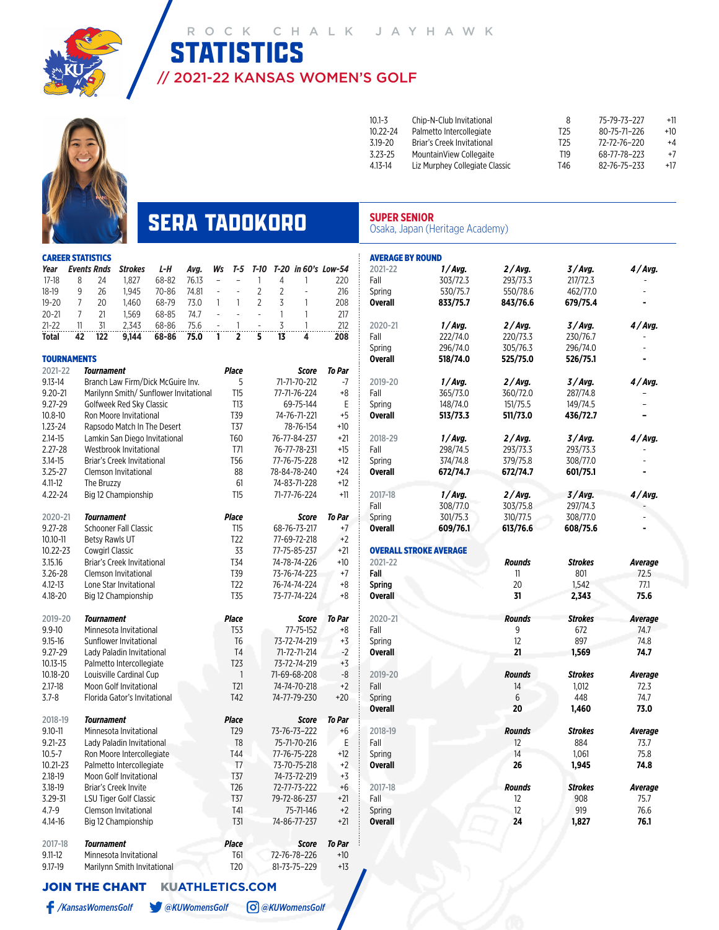

# // 2021-22 KANSAS WOMEN'S GOLF **STATISTICS**



| $10.1 - 3$   | Chip-N-Club Invitational       | 8    | 75-79-73-227 | $+11$ |
|--------------|--------------------------------|------|--------------|-------|
| $10.22 - 24$ | Palmetto Intercollegiate       | T25. | 80-75-71-226 | $+10$ |
| $3.19 - 20$  | Briar's Creek Invitational     | T25  | 72-72-76-220 | $+4$  |
| $3.23 - 25$  | MountainView Collegaite        | T19  | 68-77-78-223 | $+7$  |
| $4.13 - 14$  | Liz Murphey Collegiate Classic | T46  | 82-76-75-233 | $+17$ |
|              |                                |      |              |       |

## **SERA TADOKORO** SUPER SENIOR<br>
Osaka, Japan (Heritage Academy)

| <b>CAREER STATISTICS</b> |                        |                                                                    |       |                        |                |                          |      |                |                           |                     |
|--------------------------|------------------------|--------------------------------------------------------------------|-------|------------------------|----------------|--------------------------|------|----------------|---------------------------|---------------------|
| Year                     | <b>Events Rnds</b>     | <b>Strokes</b>                                                     | L-H   | Avg.                   | Ws             | T-5                      | T-10 |                |                           | T-20 in 60's Low-54 |
| $17-18$                  | 24<br>8                | 1,827                                                              | 68-82 | 76.13                  | $\overline{a}$ | $\overline{\phantom{0}}$ | 1    | 4              | 1                         | 220                 |
| 18-19                    | 9<br>26                | 1,945                                                              | 70-86 | 74.81                  | $\frac{1}{2}$  | $\overline{\phantom{0}}$ | 2    | $\overline{2}$ | $\overline{a}$            | 216                 |
| $19 - 20$                | 20<br>7                | 1,460                                                              | 68-79 | 73.0                   | 1              | 1                        | 2    | 3              | 1                         | 208                 |
| $20 - 21$                | 7<br>21                | 1,569                                                              | 68-85 | 74.7                   | $\overline{a}$ | $\overline{a}$           | L,   | 1              | 1                         | 217                 |
| 21-22                    | 31<br>11               | 2,343                                                              | 68-86 | 75.6                   |                | 1                        |      | 3              | 1                         | 212                 |
| Total                    | 42<br>122              | 9,144                                                              | 68-86 | 75.0                   | 1              | $\overline{2}$           | 5    | 13             | 4                         | 208                 |
|                          |                        |                                                                    |       |                        |                |                          |      |                |                           |                     |
| <b>TOURNAMENTS</b>       |                        |                                                                    |       |                        |                |                          |      |                |                           |                     |
| 2021-22                  | <b>Tournament</b>      |                                                                    |       |                        |                | <b>Place</b>             |      |                | <b>Score</b>              | To Par              |
| $9.13 - 14$              |                        | Branch Law Firm/Dick McGuire Inv.                                  |       |                        |                | 5                        |      |                | 71-71-70-212              | -7                  |
| $9.20 - 21$              |                        | Marilynn Smith/ Sunflower Invitational<br>Golfweek Red Sky Classic |       |                        |                | T15                      |      |                | 77-71-76-224              | +8                  |
| 9.27-29<br>10.8-10       |                        |                                                                    |       |                        |                | T13<br>T39               |      |                | 69-75-144                 | Ε<br>+5             |
| $1.23 - 24$              |                        | Ron Moore Invitational<br>Rapsodo Match In The Desert              |       |                        |                | T37                      |      |                | 74-76-71-221<br>78-76-154 | $+10$               |
| $2.14 - 15$              |                        | Lamkin San Diego Invitational                                      |       |                        |                | T60                      |      |                | 76-77-84-237              | $+21$               |
| $2.27 - 28$              |                        | Westbrook Invitational                                             |       |                        |                | T71                      |      |                | 76-77-78-231              | $+15$               |
| 3.14-15                  |                        | <b>Briar's Creek Invitational</b>                                  |       |                        |                | T <sub>56</sub>          |      |                | 77-76-75-228              | $+12$               |
| $3.25 - 27$              |                        | Clemson Invitational                                               |       |                        |                | 88                       |      |                | 78-84-78-240              | +24                 |
| $4.11 - 12$              | The Bruzzy             |                                                                    |       |                        |                | 61                       |      |                | 74-83-71-228              | $+12$               |
| 4.22-24                  |                        | Big 12 Championship                                                |       |                        |                | T <sub>15</sub>          |      |                | 71-77-76-224              | $+11$               |
|                          |                        |                                                                    |       |                        |                |                          |      |                |                           |                     |
| 2020-21                  | Tournament             |                                                                    |       |                        |                | <b>Place</b>             |      |                | Score                     | To Par              |
| 9.27-28                  |                        | <b>Schooner Fall Classic</b>                                       |       |                        |                | T15                      |      |                | 68-76-73-217              | $+7$                |
| $10.10 - 11$             | <b>Betsy Rawls UT</b>  |                                                                    |       |                        |                | T <sub>22</sub>          |      |                | 77-69-72-218              | $+2$                |
| 10.22-23                 | <b>Cowgirl Classic</b> |                                                                    |       |                        |                | 33                       |      |                | 77-75-85-237              | $+21$               |
| 3.15.16                  |                        | Briar's Creek Invitational                                         |       |                        |                | T34                      |      |                | 74-78-74-226              | +10                 |
| 3.26-28                  |                        | Clemson Invitational                                               |       |                        |                | T39                      |      |                | 73-76-74-223              | $+7$                |
| 4.12-13                  |                        | Lone Star Invitational                                             |       |                        |                | T <sub>22</sub>          |      |                | 76-74-74-224              | +8                  |
| 4.18-20                  |                        | Big 12 Championship                                                |       |                        |                | T <sub>35</sub>          |      |                | 73-77-74-224              | $+8$                |
| 2019-20                  | <b>Tournament</b>      |                                                                    |       |                        |                | <b>Place</b>             |      |                | Score                     | To Par              |
| $9.9 - 10$               |                        | Minnesota Invitational                                             |       |                        |                | T53                      |      |                | 77-75-152                 | +8                  |
| 9.15-16                  |                        | Sunflower Invitational                                             |       |                        |                | T6                       |      |                | 73-72-74-219              | +3                  |
| 9.27-29                  |                        | Lady Paladin Invitational                                          |       |                        |                | T4                       |      |                | 71-72-71-214              | $-2$                |
| 10.13-15                 |                        | Palmetto Intercollegiate                                           |       |                        |                | T <sub>23</sub>          |      |                | 73-72-74-219              | +3                  |
| 10.18-20                 |                        | Louisville Cardinal Cup                                            |       |                        |                | 1                        |      |                | 71-69-68-208              | -8                  |
| $2.17 - 18$              |                        | Moon Golf Invitational                                             |       |                        |                | T21                      |      |                | 74-74-70-218              | $+2$                |
| $3.7 - 8$                |                        | Florida Gator's Invitational                                       |       |                        |                | T42                      |      |                | 74-77-79-230              | $+20$               |
|                          |                        |                                                                    |       |                        |                |                          |      |                |                           |                     |
| 2018-19                  | Tournament             |                                                                    |       |                        |                | Place                    |      |                | Score                     | <b>To Par</b>       |
| 9.10-11                  |                        | Minnesota Invitational                                             |       |                        |                | T <sub>29</sub>          |      |                | 73-76-73-222              | +6                  |
| $9.21 - 23$              |                        | Lady Paladin Invitational                                          |       |                        |                | T <sub>8</sub>           |      |                | 75-71-70-216              | Ε                   |
| $10.5 - 7$               |                        | Ron Moore Intercollegiate                                          |       |                        |                | T44                      |      |                | 77-76-75-228              | $+12$               |
| 10.21-23                 |                        | Palmetto Intercollegiate                                           |       |                        |                | T7                       |      |                | 73-70-75-218              | $+2$                |
| 2.18-19                  |                        | Moon Golf Invitational                                             |       |                        |                | T37                      |      |                | 74-73-72-219              | $+3$                |
| 3.18-19                  |                        | Briar's Creek Invite                                               |       |                        |                | T <sub>26</sub>          |      |                | 72-77-73-222              | +6                  |
| 3.29-31                  |                        | LSU Tiger Golf Classic                                             |       |                        |                | T37                      |      |                | 79-72-86-237              | $+21$               |
| 4.7-9                    |                        | Clemson Invitational                                               |       |                        |                | T41                      |      |                | 75-71-146                 | $+2$                |
| 4.14-16                  |                        | Big 12 Championship                                                |       |                        |                | T31                      |      |                | 74-86-77-237              | $+21$               |
| 2017-18                  | <b>Tournament</b>      |                                                                    |       |                        |                | <b>Place</b>             |      |                | <b>Score</b>              | To Par              |
| $9.11 - 12$              |                        | Minnesota Invitational                                             |       |                        |                | T61                      |      |                | 72-76-78–226              | $+10$               |
| 9.17-19                  |                        | Marilynn Smith Invitational                                        |       |                        |                | T <sub>20</sub>          |      |                | 81-73-75-229              | $+13$               |
|                          |                        |                                                                    |       |                        |                |                          |      |                |                           |                     |
| <b>JOIN THE CHANT</b>    |                        |                                                                    |       | <b>KUATHLETICS.COM</b> |                |                          |      |                |                           |                     |

*/KansasWomensGolf @KUWomensGolf @KUWomensGolf*

| AVERAGE BY ROUND |                               |               |                |         |
|------------------|-------------------------------|---------------|----------------|---------|
| 2021-22          | 1/Avg.                        | 2/Avg.        | 3/Avg.         | 4/Avg.  |
| Fall             | 303/72.3                      | 293/73.3      | 217/72.3       |         |
| Spring           | 530/75.7                      | 550/78.6      | 462/77.0       |         |
| Overall          | 833/75.7                      | 843/76.6      | 679/75.4       |         |
| 2020-21          | 1/Avg.                        | 2/Avg.        | 3/Avg.         | 4/Avg.  |
| Fall             | 222/74.0                      | 220/73.3      | 230/76.7       |         |
| Spring           | 296/74.0                      | 305/76.3      | 296/74.0       |         |
| Overall          | 518/74.0                      | 525/75.0      | 526/75.1       |         |
| 2019-20          | 1/Avg.                        | 2/Avg.        | 3/Avg.         | 4/Avg.  |
| Fall             | 365/73.0                      | 360/72.0      | 287/74.8       |         |
| Spring           | 148/74.0                      | 151/75.5      | 149/74.5       |         |
| Overall          | 513/73.3                      | 511/73.0      | 436/72.7       |         |
| 2018-29          | 1/Avg.                        | 2/Avg.        | 3/Avg.         | 4/Avg.  |
| Fall             | 298/74.5                      | 293/73.3      | 293/73.3       |         |
| Spring           | 374/74.8                      | 379/75.8      | 308/77.0       |         |
| Overall          | 672/74.7                      | 672/74.7      | 601/75.1       |         |
| 2017-18          | 1/Avg.                        | 2/Avg.        | 3/Avg.         | 4/Avg.  |
| Fall             | 308/77.0                      | 303/75.8      | 297/74.3       |         |
| Spring           | 301/75.3                      | 310/77.5      | 308/77.0       |         |
| Overall          | 609/76.1                      | 613/76.6      | 608/75.6       |         |
|                  | <b>OVERALL STROKE AVERAGE</b> |               |                |         |
| 2021-22          |                               | <b>Rounds</b> | Strokes        | Average |
| Fall             |                               | 11            | 801            | 72.5    |
| Spring           |                               | 20            | 1,542          | 77.1    |
| Overall          |                               | 31            | 2,343          | 75.6    |
| 2020-21          |                               | <b>Rounds</b> | <b>Strokes</b> | Average |
| Fall             |                               | 9             | 672            | 74.7    |
| Spring           |                               | 12            | 897            | 74.8    |
| Overall          |                               | 21            | 1,569          | 74.7    |
| 2019-20          |                               | Rounds        | <b>Strokes</b> | Average |
| Fall             |                               | 14            | 1,012          | 72.3    |
| Spring           |                               | 6             | 448            | 74.7    |
| Overall          |                               | 20            | 1,460          | 73.0    |
| 2018-19          |                               | Rounds        | Strokes        | Average |
| Fall             |                               | 12            | 884            | 73.7    |
| Spring           |                               | 14            | 1,061          | 75.8    |
| Overall          |                               | 26            | 1,945          | 74.8    |
| 2017-18          |                               | Rounds        | <b>Strokes</b> | Average |
| Fall             |                               | 12            | 908            | 75.7    |
| Spring           |                               | 12            | 919            | 76.6    |
| Overall          |                               | 24            | 1,827          | 76.1    |